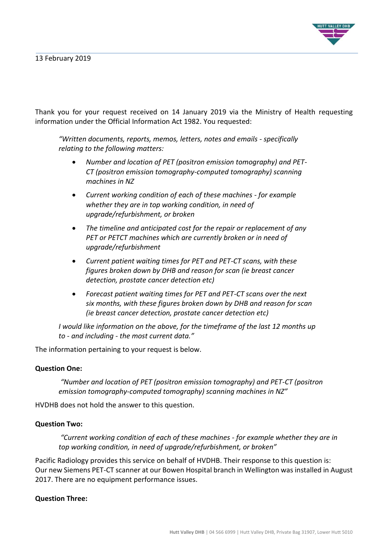

Thank you for your request received on 14 January 2019 via the Ministry of Health requesting information under the Official Information Act 1982. You requested:

*"Written documents, reports, memos, letters, notes and emails - specifically relating to the following matters:*

- *Number and location of PET (positron emission tomography) and PET-CT (positron emission tomography-computed tomography) scanning machines in NZ*
- *Current working condition of each of these machines - for example whether they are in top working condition, in need of upgrade/refurbishment, or broken*
- *The timeline and anticipated cost for the repair or replacement of any PET or PETCT machines which are currently broken or in need of upgrade/refurbishment*
- *Current patient waiting times for PET and PET-CT scans, with these figures broken down by DHB and reason for scan (ie breast cancer detection, prostate cancer detection etc)*
- *Forecast patient waiting times for PET and PET-CT scans over the next six months, with these figures broken down by DHB and reason for scan (ie breast cancer detection, prostate cancer detection etc)*

*I would like information on the above, for the timeframe of the last 12 months up to - and including - the most current data."*

The information pertaining to your request is below.

### **Question One:**

*"Number and location of PET (positron emission tomography) and PET-CT (positron emission tomography-computed tomography) scanning machines in NZ"*

HVDHB does not hold the answer to this question.

## **Question Two:**

*"Current working condition of each of these machines - for example whether they are in top working condition, in need of upgrade/refurbishment, or broken"*

Pacific Radiology provides this service on behalf of HVDHB. Their response to this question is: Our new Siemens PET-CT scanner at our Bowen Hospital branch in Wellington was installed in August 2017. There are no equipment performance issues.

### **Question Three:**